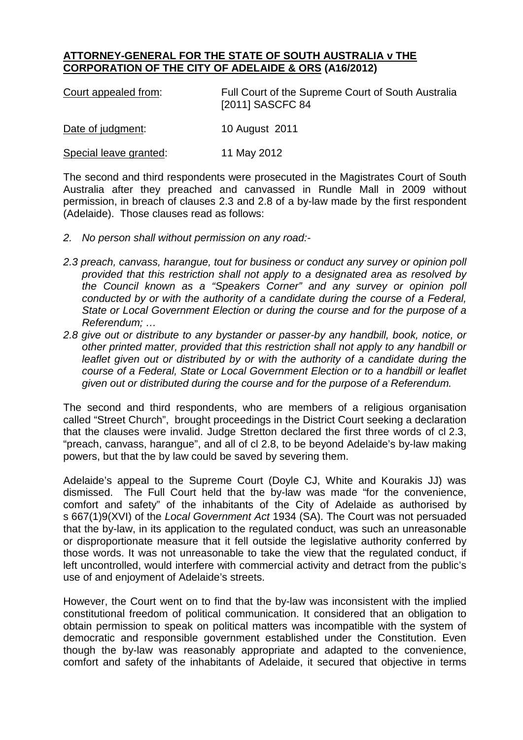## **ATTORNEY-GENERAL FOR THE STATE OF SOUTH AUSTRALIA v THE CORPORATION OF THE CITY OF ADELAIDE & ORS (A16/2012)**

| Court appealed from: | Full Court of the Supreme Court of South Australia<br>[2011] SASCFC 84 |
|----------------------|------------------------------------------------------------------------|
| Date of judgment:    | 10 August 2011                                                         |

Special leave granted: 11 May 2012

The second and third respondents were prosecuted in the Magistrates Court of South Australia after they preached and canvassed in Rundle Mall in 2009 without permission, in breach of clauses 2.3 and 2.8 of a by-law made by the first respondent (Adelaide). Those clauses read as follows:

- *2. No person shall without permission on any road:-*
- *2.3 preach, canvass, harangue, tout for business or conduct any survey or opinion poll provided that this restriction shall not apply to a designated area as resolved by the Council known as a "Speakers Corner" and any survey or opinion poll conducted by or with the authority of a candidate during the course of a Federal, State or Local Government Election or during the course and for the purpose of a Referendum; …*
- *2.8 give out or distribute to any bystander or passer-by any handbill, book, notice, or other printed matter, provided that this restriction shall not apply to any handbill or leaflet given out or distributed by or with the authority of a candidate during the course of a Federal, State or Local Government Election or to a handbill or leaflet given out or distributed during the course and for the purpose of a Referendum.*

The second and third respondents, who are members of a religious organisation called "Street Church", brought proceedings in the District Court seeking a declaration that the clauses were invalid. Judge Stretton declared the first three words of cl 2.3, "preach, canvass, harangue", and all of cl 2.8, to be beyond Adelaide's by-law making powers, but that the by law could be saved by severing them.

Adelaide's appeal to the Supreme Court (Doyle CJ, White and Kourakis JJ) was dismissed. The Full Court held that the by-law was made "for the convenience, comfort and safety" of the inhabitants of the City of Adelaide as authorised by s 667(1)9(XVI) of the *Local Government Act* 1934 (SA). The Court was not persuaded that the by-law, in its application to the regulated conduct, was such an unreasonable or disproportionate measure that it fell outside the legislative authority conferred by those words. It was not unreasonable to take the view that the regulated conduct, if left uncontrolled, would interfere with commercial activity and detract from the public's use of and enjoyment of Adelaide's streets.

However, the Court went on to find that the by-law was inconsistent with the implied constitutional freedom of political communication. It considered that an obligation to obtain permission to speak on political matters was incompatible with the system of democratic and responsible government established under the Constitution. Even though the by-law was reasonably appropriate and adapted to the convenience, comfort and safety of the inhabitants of Adelaide, it secured that objective in terms